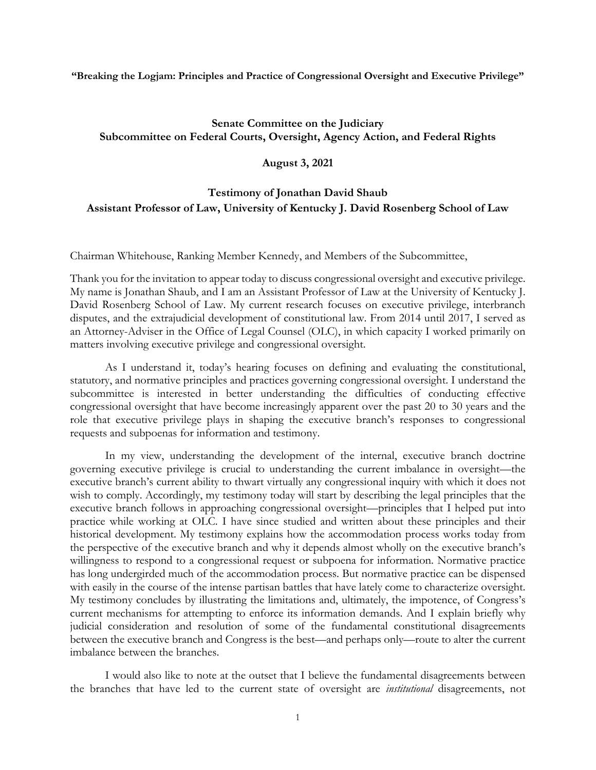### **"Breaking the Logjam: Principles and Practice of Congressional Oversight and Executive Privilege"**

## **Senate Committee on the Judiciary Subcommittee on Federal Courts, Oversight, Agency Action, and Federal Rights**

## **August 3, 2021**

# **Testimony of Jonathan David Shaub Assistant Professor of Law, University of Kentucky J. David Rosenberg School of Law**

Chairman Whitehouse, Ranking Member Kennedy, and Members of the Subcommittee,

Thank you for the invitation to appear today to discuss congressional oversight and executive privilege. My name is Jonathan Shaub, and I am an Assistant Professor of Law at the University of Kentucky J. David Rosenberg School of Law. My current research focuses on executive privilege, interbranch disputes, and the extrajudicial development of constitutional law. From 2014 until 2017, I served as an Attorney-Adviser in the Office of Legal Counsel (OLC), in which capacity I worked primarily on matters involving executive privilege and congressional oversight.

As I understand it, today's hearing focuses on defining and evaluating the constitutional, statutory, and normative principles and practices governing congressional oversight. I understand the subcommittee is interested in better understanding the difficulties of conducting effective congressional oversight that have become increasingly apparent over the past 20 to 30 years and the role that executive privilege plays in shaping the executive branch's responses to congressional requests and subpoenas for information and testimony.

In my view, understanding the development of the internal, executive branch doctrine governing executive privilege is crucial to understanding the current imbalance in oversight—the executive branch's current ability to thwart virtually any congressional inquiry with which it does not wish to comply. Accordingly, my testimony today will start by describing the legal principles that the executive branch follows in approaching congressional oversight—principles that I helped put into practice while working at OLC. I have since studied and written about these principles and their historical development. My testimony explains how the accommodation process works today from the perspective of the executive branch and why it depends almost wholly on the executive branch's willingness to respond to a congressional request or subpoena for information. Normative practice has long undergirded much of the accommodation process. But normative practice can be dispensed with easily in the course of the intense partisan battles that have lately come to characterize oversight. My testimony concludes by illustrating the limitations and, ultimately, the impotence, of Congress's current mechanisms for attempting to enforce its information demands. And I explain briefly why judicial consideration and resolution of some of the fundamental constitutional disagreements between the executive branch and Congress is the best—and perhaps only—route to alter the current imbalance between the branches.

I would also like to note at the outset that I believe the fundamental disagreements between the branches that have led to the current state of oversight are *institutional* disagreements, not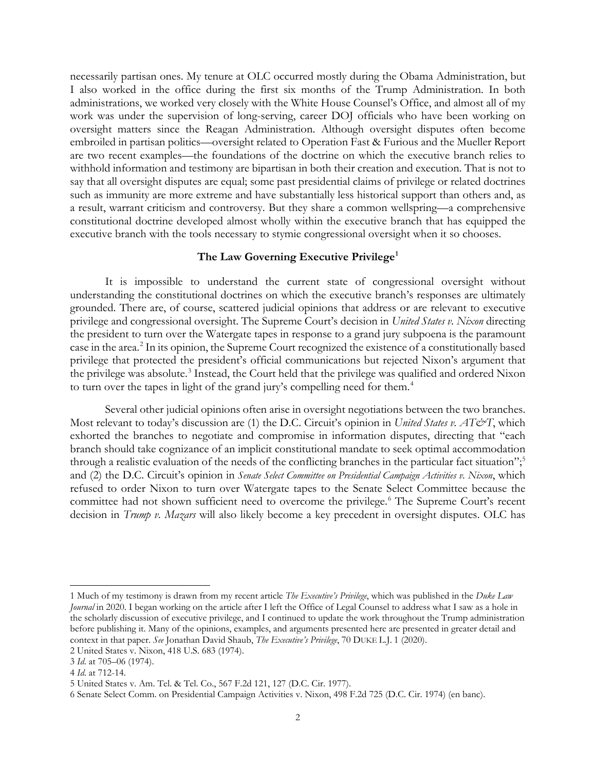necessarily partisan ones. My tenure at OLC occurred mostly during the Obama Administration, but I also worked in the office during the first six months of the Trump Administration. In both administrations, we worked very closely with the White House Counsel's Office, and almost all of my work was under the supervision of long-serving, career DOJ officials who have been working on oversight matters since the Reagan Administration. Although oversight disputes often become embroiled in partisan politics—oversight related to Operation Fast & Furious and the Mueller Report are two recent examples—the foundations of the doctrine on which the executive branch relies to withhold information and testimony are bipartisan in both their creation and execution. That is not to say that all oversight disputes are equal; some past presidential claims of privilege or related doctrines such as immunity are more extreme and have substantially less historical support than others and, as a result, warrant criticism and controversy. But they share a common wellspring—a comprehensive constitutional doctrine developed almost wholly within the executive branch that has equipped the executive branch with the tools necessary to stymie congressional oversight when it so chooses.

## **The Law Governing Executive Privilege[1](#page-1-0)**

It is impossible to understand the current state of congressional oversight without understanding the constitutional doctrines on which the executive branch's responses are ultimately grounded. There are, of course, scattered judicial opinions that address or are relevant to executive privilege and congressional oversight. The Supreme Court's decision in *United States v. Nixon* directing the president to turn over the Watergate tapes in response to a grand jury subpoena is the paramount case in the area.[2](#page-1-1) In its opinion, the Supreme Court recognized the existence of a constitutionally based privilege that protected the president's official communications but rejected Nixon's argument that the privilege was absolute. [3](#page-1-2) Instead, the Court held that the privilege was qualified and ordered Nixon to turn over the tapes in light of the grand jury's compelling need for them.<sup>[4](#page-1-3)</sup>

Several other judicial opinions often arise in oversight negotiations between the two branches. Most relevant to today's discussion are (1) the D.C. Circuit's opinion in *United States v. AT&T*, which exhorted the branches to negotiate and compromise in information disputes, directing that "each branch should take cognizance of an implicit constitutional mandate to seek optimal accommodation through a realistic evaluation of the needs of the conflicting branches in the particular fact situation"; [5](#page-1-4) and (2) the D.C. Circuit's opinion in *Senate Select Committee on Presidential Campaign Activities v. Nixon*, which refused to order Nixon to turn over Watergate tapes to the Senate Select Committee because the committee had not shown sufficient need to overcome the privilege.<sup>[6](#page-1-5)</sup> The Supreme Court's recent decision in *Trump v. Mazars* will also likely become a key precedent in oversight disputes. OLC has

<span id="page-1-0"></span><sup>1</sup> Much of my testimony is drawn from my recent article *The Executive's Privilege*, which was published in the *Duke Law Journal* in 2020. I began working on the article after I left the Office of Legal Counsel to address what I saw as a hole in the scholarly discussion of executive privilege, and I continued to update the work throughout the Trump administration before publishing it. Many of the opinions, examples, and arguments presented here are presented in greater detail and context in that paper. *See* Jonathan David Shaub, *The Executive's Privilege*, 70 DUKE L.J. 1 (2020).

<span id="page-1-1"></span><sup>2</sup> United States v. Nixon, 418 U.S. 683 (1974).

<span id="page-1-2"></span><sup>3</sup> *Id*. at 705–06 (1974).

<span id="page-1-3"></span><sup>4</sup> *Id*. at 712-14.

<span id="page-1-4"></span><sup>5</sup> United States v. Am. Tel. & Tel. Co., 567 F.2d 121, 127 (D.C. Cir. 1977).

<span id="page-1-5"></span><sup>6</sup> Senate Select Comm. on Presidential Campaign Activities v. Nixon, 498 F.2d 725 (D.C. Cir. 1974) (en banc).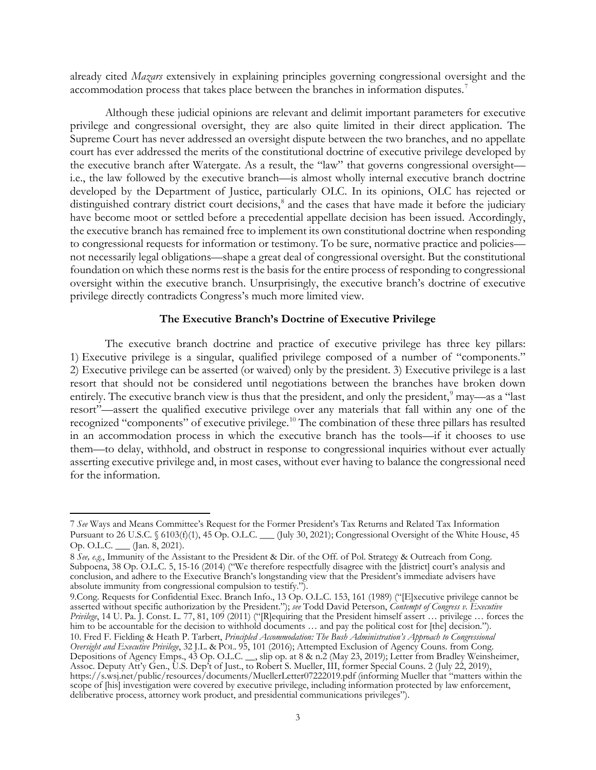already cited *Mazars* extensively in explaining principles governing congressional oversight and the accommodation process that takes place between the branches in information disputes.<sup>[7](#page-2-0)</sup>

Although these judicial opinions are relevant and delimit important parameters for executive privilege and congressional oversight, they are also quite limited in their direct application. The Supreme Court has never addressed an oversight dispute between the two branches, and no appellate court has ever addressed the merits of the constitutional doctrine of executive privilege developed by the executive branch after Watergate. As a result, the "law" that governs congressional oversight i.e., the law followed by the executive branch—is almost wholly internal executive branch doctrine developed by the Department of Justice, particularly OLC. In its opinions, OLC has rejected or distinguished contrary district court decisions, [8](#page-2-1) and the cases that have made it before the judiciary have become moot or settled before a precedential appellate decision has been issued. Accordingly, the executive branch has remained free to implement its own constitutional doctrine when responding to congressional requests for information or testimony. To be sure, normative practice and policies not necessarily legal obligations—shape a great deal of congressional oversight. But the constitutional foundation on which these norms rest is the basis for the entire process of responding to congressional oversight within the executive branch. Unsurprisingly, the executive branch's doctrine of executive privilege directly contradicts Congress's much more limited view.

#### **The Executive Branch's Doctrine of Executive Privilege**

The executive branch doctrine and practice of executive privilege has three key pillars: 1) Executive privilege is a singular, qualified privilege composed of a number of "components." 2) Executive privilege can be asserted (or waived) only by the president. 3) Executive privilege is a last resort that should not be considered until negotiations between the branches have broken down entirely. The executive branch view is thus that the president, and only the president,<sup>[9](#page-2-2)</sup> may—as a "last" resort"—assert the qualified executive privilege over any materials that fall within any one of the recognized "components" of executive privilege.<sup>[10](#page-2-3)</sup> The combination of these three pillars has resulted in an accommodation process in which the executive branch has the tools—if it chooses to use them—to delay, withhold, and obstruct in response to congressional inquiries without ever actually asserting executive privilege and, in most cases, without ever having to balance the congressional need for the information.

<span id="page-2-3"></span><span id="page-2-2"></span>9.Cong. Requests for Confidential Exec. Branch Info., 13 Op. O.L.C. 153, 161 (1989) ("[E]xecutive privilege cannot be asserted without specific authorization by the President."); *see* Todd David Peterson, *Contempt of Congress v. Executive Privilege*, 14 U. Pa. J. Const. L. 77, 81, 109 (2011) ("[R]equiring that the President himself assert … privilege … forces the him to be accountable for the decision to withhold documents ... and pay the political cost for [the] decision."). 10. Fred F. Fielding & Heath P. Tarbert, *Principled Accommodation: The Bush Administration's Approach to Congressional Oversight and Executive Privilege*, 32 J.L. & POL. 95, 101 (2016); Attempted Exclusion of Agency Couns. from Cong. Depositions of Agency Emps., 43 Op. O.L.C. \_\_, slip op. at 8 & n.2 (May 23, 2019); Letter from Bradley Weinsheimer, Assoc. Deputy Att'y Gen., U.S. Dep't of Just., to Robert S. Mueller, III, former Special Couns. 2 (July 22, 2019), https://s.wsj.net/public/resources/documents/MuellerLetter07222019.pdf (informing Mueller that "matters within the scope of [his] investigation were covered by executive privilege, including information protected by law enforcement, deliberative process, attorney work product, and presidential communications privileges").

<span id="page-2-0"></span><sup>7</sup> *See* Ways and Means Committee's Request for the Former President's Tax Returns and Related Tax Information Pursuant to 26 U.S.C. § 6103(f)(1), 45 Op. O.L.C. \_\_\_ (July 30, 2021); Congressional Oversight of the White House, 45 Op. O.L.C. \_\_\_ (Jan. 8, 2021).

<span id="page-2-1"></span><sup>8</sup> *See, e.g.*, Immunity of the Assistant to the President & Dir. of the Off. of Pol. Strategy & Outreach from Cong. Subpoena, 38 Op. O.L.C. 5, 15-16 (2014) ("We therefore respectfully disagree with the [district] court's analysis and conclusion, and adhere to the Executive Branch's longstanding view that the President's immediate advisers have absolute immunity from congressional compulsion to testify.").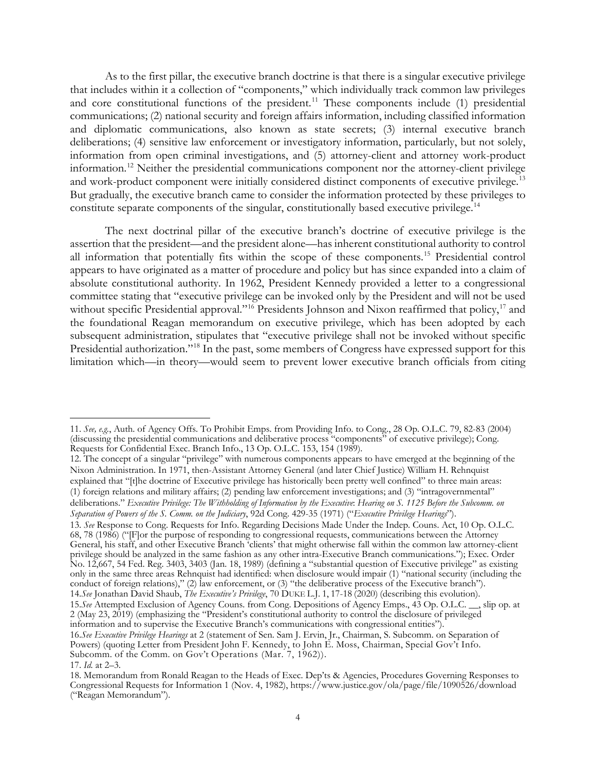As to the first pillar, the executive branch doctrine is that there is a singular executive privilege that includes within it a collection of "components," which individually track common law privileges and core constitutional functions of the president.<sup>[11](#page-3-0)</sup> These components include (1) presidential communications; (2) national security and foreign affairs information, including classified information and diplomatic communications, also known as state secrets; (3) internal executive branch deliberations; (4) sensitive law enforcement or investigatory information, particularly, but not solely, information from open criminal investigations, and (5) attorney-client and attorney work-product information.[12](#page-3-1) Neither the presidential communications component nor the attorney-client privilege and work-product component were initially considered distinct components of executive privilege.<sup>[13](#page-3-2)</sup> But gradually, the executive branch came to consider the information protected by these privileges to constitute separate components of the singular, constitutionally based executive privilege.<sup>[14](#page-3-3)</sup>

The next doctrinal pillar of the executive branch's doctrine of executive privilege is the assertion that the president—and the president alone—has inherent constitutional authority to control all information that potentially fits within the scope of these components.[15](#page-3-4) Presidential control appears to have originated as a matter of procedure and policy but has since expanded into a claim of absolute constitutional authority. In 1962, President Kennedy provided a letter to a congressional committee stating that "executive privilege can be invoked only by the President and will not be used without specific Presidential approval."<sup>[16](#page-3-5)</sup> Presidents Johnson and Nixon reaffirmed that policy,<sup>[17](#page-3-6)</sup> and the foundational Reagan memorandum on executive privilege, which has been adopted by each subsequent administration, stipulates that "executive privilege shall not be invoked without specific Presidential authorization."<sup>[18](#page-3-7)</sup> In the past, some members of Congress have expressed support for this limitation which—in theory—would seem to prevent lower executive branch officials from citing

<span id="page-3-2"></span>13. *See* Response to Cong. Requests for Info. Regarding Decisions Made Under the Indep. Couns. Act, 10 Op. O.L.C. 68, 78 (1986) ("[F]or the purpose of responding to congressional requests, communications between the Attorney General, his staff, and other Executive Branch 'clients' that might otherwise fall within the common law attorney-client privilege should be analyzed in the same fashion as any other intra-Executive Branch communications."); Exec. Order No. 12,667, 54 Fed. Reg. 3403, 3403 (Jan. 18, 1989) (defining a "substantial question of Executive privilege" as existing only in the same three areas Rehnquist had identified: when disclosure would impair (1) "national security (including the conduct of foreign relations)," (2) law enforcement, or (3) "the deliberative process of the Executive branch"). 14.*See* Jonathan David Shaub, *The Executive's Privilege*, 70 DUKE L.J. 1, 17-18 (2020) (describing this evolution).

<span id="page-3-0"></span><sup>11.</sup> *See, e.g.*, Auth. of Agency Offs. To Prohibit Emps. from Providing Info. to Cong., 28 Op. O.L.C. 79, 82-83 (2004) (discussing the presidential communications and deliberative process "components" of executive privilege); Cong. Requests for Confidential Exec. Branch Info., 13 Op. O.L.C. 153, 154 (1989).

<span id="page-3-1"></span><sup>12.</sup> The concept of a singular "privilege" with numerous components appears to have emerged at the beginning of the Nixon Administration. In 1971, then-Assistant Attorney General (and later Chief Justice) William H. Rehnquist explained that "[t]he doctrine of Executive privilege has historically been pretty well confined" to three main areas: (1) foreign relations and military affairs; (2) pending law enforcement investigations; and (3) "intragovernmental" deliberations." *Executive Privilege: The Withholding of Information by the Executive*: *Hearing on S. 1125 Before the Subcomm. on Separation of Powers of the S. Comm. on the Judiciary*, 92d Cong. 429-35 (1971) ("*Executive Privilege Hearings*").

<span id="page-3-4"></span><span id="page-3-3"></span><sup>15.</sup>*See* Attempted Exclusion of Agency Couns. from Cong. Depositions of Agency Emps., 43 Op. O.L.C. \_\_, slip op. at 2 (May 23, 2019) (emphasizing the "President's constitutional authority to control the disclosure of privileged information and to supervise the Executive Branch's communications with congressional entities").

<span id="page-3-5"></span><sup>16.</sup>*See Executive Privilege Hearings* at 2 (statement of Sen. Sam J. Ervin, Jr., Chairman, S. Subcomm. on Separation of Powers) (quoting Letter from President John F. Kennedy, to John E. Moss, Chairman, Special Gov't Info. Subcomm. of the Comm. on Gov't Operations (Mar. 7, 1962)).

<span id="page-3-6"></span><sup>17.</sup> *Id.* at 2–3.

<span id="page-3-7"></span><sup>18.</sup> Memorandum from Ronald Reagan to the Heads of Exec. Dep'ts & Agencies, Procedures Governing Responses to Congressional Requests for Information 1 (Nov. 4, 1982), https://www.justice.gov/ola/page/file/1090526/download ("Reagan Memorandum").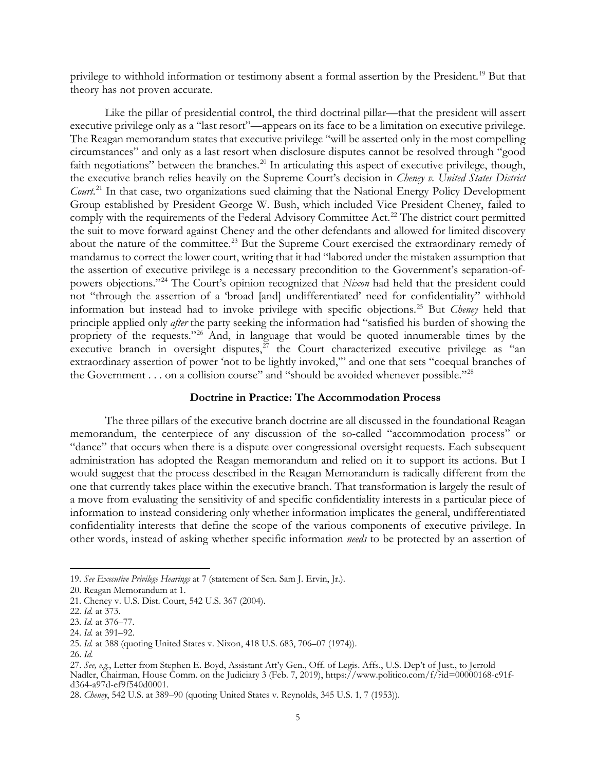privilege to withhold information or testimony absent a formal assertion by the President.<sup>[19](#page-4-0)</sup> But that theory has not proven accurate.

Like the pillar of presidential control, the third doctrinal pillar—that the president will assert executive privilege only as a "last resort"—appears on its face to be a limitation on executive privilege. The Reagan memorandum states that executive privilege "will be asserted only in the most compelling circumstances" and only as a last resort when disclosure disputes cannot be resolved through "good faith negotiations" between the branches.<sup>[20](#page-4-1)</sup> In articulating this aspect of executive privilege, though, the executive branch relies heavily on the Supreme Court's decision in *Cheney v. United States District*  Court.<sup>[21](#page-4-2)</sup> In that case, two organizations sued claiming that the National Energy Policy Development Group established by President George W. Bush, which included Vice President Cheney, failed to comply with the requirements of the Federal Advisory Committee Act.<sup>[22](#page-4-3)</sup> The district court permitted the suit to move forward against Cheney and the other defendants and allowed for limited discovery about the nature of the committee.<sup>[23](#page-4-4)</sup> But the Supreme Court exercised the extraordinary remedy of mandamus to correct the lower court, writing that it had "labored under the mistaken assumption that the assertion of executive privilege is a necessary precondition to the Government's separation-ofpowers objections."[24](#page-4-5) The Court's opinion recognized that *Nixon* had held that the president could not "through the assertion of a 'broad [and] undifferentiated' need for confidentiality" withhold information but instead had to invoke privilege with specific objections. [25](#page-4-6) But *Cheney* held that principle applied only *after* the party seeking the information had "satisfied his burden of showing the propriety of the requests."<sup>[26](#page-4-7)</sup> And, in language that would be quoted innumerable times by the executive branch in oversight disputes, $27$  the Court characterized executive privilege as "an extraordinary assertion of power 'not to be lightly invoked,'" and one that sets "coequal branches of the Government . . . on a collision course" and "should be avoided whenever possible."[28](#page-4-9)

### **Doctrine in Practice: The Accommodation Process**

The three pillars of the executive branch doctrine are all discussed in the foundational Reagan memorandum, the centerpiece of any discussion of the so-called "accommodation process" or "dance" that occurs when there is a dispute over congressional oversight requests. Each subsequent administration has adopted the Reagan memorandum and relied on it to support its actions. But I would suggest that the process described in the Reagan Memorandum is radically different from the one that currently takes place within the executive branch. That transformation is largely the result of a move from evaluating the sensitivity of and specific confidentiality interests in a particular piece of information to instead considering only whether information implicates the general, undifferentiated confidentiality interests that define the scope of the various components of executive privilege. In other words, instead of asking whether specific information *needs* to be protected by an assertion of

<span id="page-4-0"></span><sup>19.</sup> *See Executive Privilege Hearings* at 7 (statement of Sen. Sam J. Ervin, Jr.).

<span id="page-4-1"></span><sup>20.</sup> Reagan Memorandum at 1.

<span id="page-4-2"></span><sup>21.</sup> Cheney v. U.S. Dist. Court, 542 U.S. 367 (2004).

<span id="page-4-3"></span><sup>22.</sup> *Id.* at 373.

<span id="page-4-4"></span><sup>23.</sup> *Id.* at 376–77.

<span id="page-4-5"></span><sup>24.</sup> *Id.* at 391–92.

<span id="page-4-6"></span><sup>25.</sup> *Id.* at 388 (quoting United States v. Nixon, 418 U.S. 683, 706–07 (1974)).

<span id="page-4-7"></span><sup>26.</sup> *Id.*

<span id="page-4-8"></span><sup>27.</sup> *See, e.g.*, Letter from Stephen E. Boyd, Assistant Att'y Gen., Off. of Legis. Affs., U.S. Dep't of Just., to Jerrold Nadler, Chairman, House Comm. on the Judiciary 3 (Feb. 7, 2019), https://www.politico.com/f/?id=00000168-c91fd364-a97d-ef9f540d0001.

<span id="page-4-9"></span><sup>28.</sup> *Cheney*, 542 U.S. at 389–90 (quoting United States v. Reynolds, 345 U.S. 1, 7 (1953)).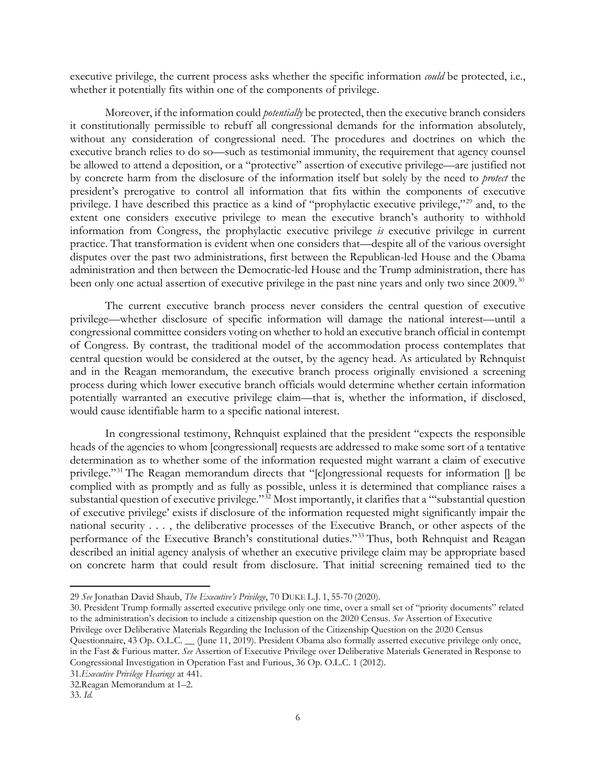executive privilege, the current process asks whether the specific information *could* be protected, i.e., whether it potentially fits within one of the components of privilege.

Moreover, if the information could *potentially* be protected, then the executive branch considers it constitutionally permissible to rebuff all congressional demands for the information absolutely, without any consideration of congressional need. The procedures and doctrines on which the executive branch relies to do so—such as testimonial immunity, the requirement that agency counsel be allowed to attend a deposition, or a "protective" assertion of executive privilege—are justified not by concrete harm from the disclosure of the information itself but solely by the need to *protect* the president's prerogative to control all information that fits within the components of executive privilege. I have described this practice as a kind of "prophylactic executive privilege,"[29](#page-5-0) and, to the extent one considers executive privilege to mean the executive branch's authority to withhold information from Congress, the prophylactic executive privilege *is* executive privilege in current practice. That transformation is evident when one considers that—despite all of the various oversight disputes over the past two administrations, first between the Republican-led House and the Obama administration and then between the Democratic-led House and the Trump administration, there has been only one actual assertion of executive privilege in the past nine years and only two since 2009.<sup>[30](#page-5-1)</sup>

The current executive branch process never considers the central question of executive privilege—whether disclosure of specific information will damage the national interest—until a congressional committee considers voting on whether to hold an executive branch official in contempt of Congress. By contrast, the traditional model of the accommodation process contemplates that central question would be considered at the outset, by the agency head. As articulated by Rehnquist and in the Reagan memorandum, the executive branch process originally envisioned a screening process during which lower executive branch officials would determine whether certain information potentially warranted an executive privilege claim—that is, whether the information, if disclosed, would cause identifiable harm to a specific national interest.

In congressional testimony, Rehnquist explained that the president "expects the responsible heads of the agencies to whom [congressional] requests are addressed to make some sort of a tentative determination as to whether some of the information requested might warrant a claim of executive privilege."<sup>[31](#page-5-2)</sup> The Reagan memorandum directs that "[c]ongressional requests for information [] be complied with as promptly and as fully as possible, unless it is determined that compliance raises a substantial question of executive privilege."[32](#page-5-3) Most importantly, it clarifies that a "'substantial question of executive privilege' exists if disclosure of the information requested might significantly impair the national security . . . , the deliberative processes of the Executive Branch, or other aspects of the performance of the Executive Branch's constitutional duties."[33](#page-5-4) Thus, both Rehnquist and Reagan described an initial agency analysis of whether an executive privilege claim may be appropriate based on concrete harm that could result from disclosure. That initial screening remained tied to the

<span id="page-5-1"></span>30. President Trump formally asserted executive privilege only one time, over a small set of "priority documents" related to the administration's decision to include a citizenship question on the 2020 Census. *See* Assertion of Executive Privilege over Deliberative Materials Regarding the Inclusion of the Citizenship Question on the 2020 Census

<span id="page-5-0"></span><sup>29</sup> *See* Jonathan David Shaub, *The Executive's Privilege*, 70 DUKE L.J. 1, 55-70 (2020).

Questionnaire, 43 Op. O.L.C. \_\_ (June 11, 2019). President Obama also formally asserted executive privilege only once, in the Fast & Furious matter. *See* Assertion of Executive Privilege over Deliberative Materials Generated in Response to Congressional Investigation in Operation Fast and Furious, 36 Op. O.L.C. 1 (2012).

<span id="page-5-2"></span><sup>31.</sup>*Executive Privilege Hearings* at 441.

<span id="page-5-4"></span><span id="page-5-3"></span><sup>32.</sup>Reagan Memorandum at 1–2.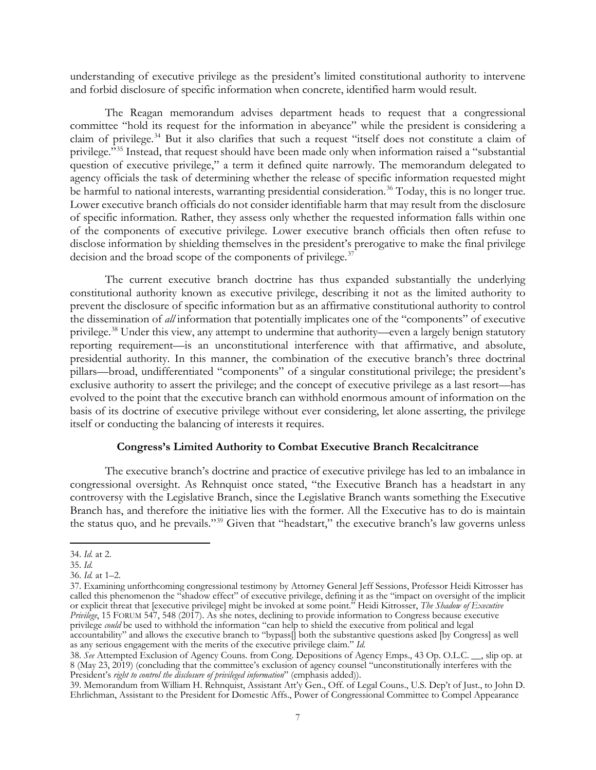understanding of executive privilege as the president's limited constitutional authority to intervene and forbid disclosure of specific information when concrete, identified harm would result.

The Reagan memorandum advises department heads to request that a congressional committee "hold its request for the information in abeyance" while the president is considering a claim of privilege.[34](#page-6-0) But it also clarifies that such a request "itself does not constitute a claim of privilege."<sup>[35](#page-6-1)</sup> Instead, that request should have been made only when information raised a "substantial" question of executive privilege," a term it defined quite narrowly. The memorandum delegated to agency officials the task of determining whether the release of specific information requested might be harmful to national interests, warranting presidential consideration.<sup>[36](#page-6-2)</sup> Today, this is no longer true. Lower executive branch officials do not consider identifiable harm that may result from the disclosure of specific information. Rather, they assess only whether the requested information falls within one of the components of executive privilege. Lower executive branch officials then often refuse to disclose information by shielding themselves in the president's prerogative to make the final privilege decision and the broad scope of the components of privilege.<sup>[37](#page-6-3)</sup>

The current executive branch doctrine has thus expanded substantially the underlying constitutional authority known as executive privilege, describing it not as the limited authority to prevent the disclosure of specific information but as an affirmative constitutional authority to control the dissemination of *all* information that potentially implicates one of the "components" of executive privilege.<sup>38</sup> Under this view, any attempt to undermine that authority—even a largely benign statutory reporting requirement—is an unconstitutional interference with that affirmative, and absolute, presidential authority. In this manner, the combination of the executive branch's three doctrinal pillars—broad, undifferentiated "components" of a singular constitutional privilege; the president's exclusive authority to assert the privilege; and the concept of executive privilege as a last resort—has evolved to the point that the executive branch can withhold enormous amount of information on the basis of its doctrine of executive privilege without ever considering, let alone asserting, the privilege itself or conducting the balancing of interests it requires.

#### **Congress's Limited Authority to Combat Executive Branch Recalcitrance**

The executive branch's doctrine and practice of executive privilege has led to an imbalance in congressional oversight. As Rehnquist once stated, "the Executive Branch has a headstart in any controversy with the Legislative Branch, since the Legislative Branch wants something the Executive Branch has, and therefore the initiative lies with the former. All the Executive has to do is maintain the status quo, and he prevails."[39](#page-6-5) Given that "headstart," the executive branch's law governs unless

<span id="page-6-0"></span><sup>34.</sup> *Id.* at 2.

<span id="page-6-1"></span><sup>35.</sup> *Id.* 

<span id="page-6-2"></span><sup>36.</sup> *Id.* at 1–2.

<span id="page-6-3"></span><sup>37.</sup> Examining unforthcoming congressional testimony by Attorney General Jeff Sessions, Professor Heidi Kitrosser has called this phenomenon the "shadow effect" of executive privilege, defining it as the "impact on oversight of the implicit or explicit threat that [executive privilege] might be invoked at some point." Heidi Kitrosser, *The Shadow of Executive Privilege*, 15 FORUM 547, 548 (2017). As she notes, declining to provide information to Congress because executive privilege *could* be used to withhold the information "can help to shield the executive from political and legal

accountability" and allows the executive branch to "bypass[] both the substantive questions asked [by Congress] as well as any serious engagement with the merits of the executive privilege claim." *Id.*

<span id="page-6-4"></span><sup>38.</sup> *See* Attempted Exclusion of Agency Couns. from Cong. Depositions of Agency Emps., 43 Op. O.L.C. \_\_, slip op. at 8 (May 23, 2019) (concluding that the committee's exclusion of agency counsel "unconstitutionally interferes with the President's *right to control the disclosure of privileged information*" (emphasis added)).

<span id="page-6-5"></span><sup>39.</sup> Memorandum from William H. Rehnquist, Assistant Att'y Gen., Off. of Legal Couns., U.S. Dep't of Just., to John D. Ehrlichman, Assistant to the President for Domestic Affs., Power of Congressional Committee to Compel Appearance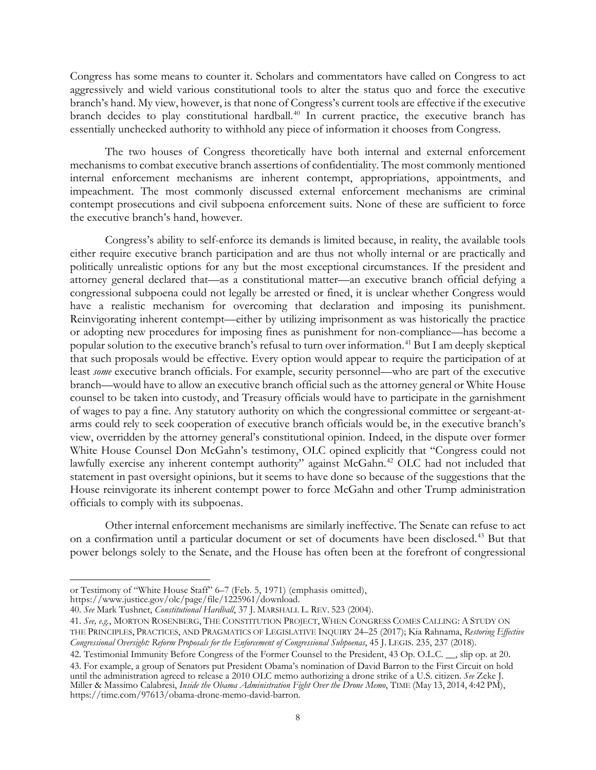Congress has some means to counter it. Scholars and commentators have called on Congress to act aggressively and wield various constitutional tools to alter the status quo and force the executive branch's hand. My view, however, is that none of Congress's current tools are effective if the executive branch decides to play constitutional hardball.<sup>[40](#page-7-0)</sup> In current practice, the executive branch has essentially unchecked authority to withhold any piece of information it chooses from Congress.

The two houses of Congress theoretically have both internal and external enforcement mechanisms to combat executive branch assertions of confidentiality. The most commonly mentioned internal enforcement mechanisms are inherent contempt, appropriations, appointments, and impeachment. The most commonly discussed external enforcement mechanisms are criminal contempt prosecutions and civil subpoena enforcement suits. None of these are sufficient to force the executive branch's hand, however.

Congress's ability to self-enforce its demands is limited because, in reality, the available tools either require executive branch participation and are thus not wholly internal or are practically and politically unrealistic options for any but the most exceptional circumstances. If the president and attorney general declared that—as a constitutional matter—an executive branch official defying a congressional subpoena could not legally be arrested or fined, it is unclear whether Congress would have a realistic mechanism for overcoming that declaration and imposing its punishment. Reinvigorating inherent contempt—either by utilizing imprisonment as was historically the practice or adopting new procedures for imposing fines as punishment for non-compliance—has become a popular solution to the executive branch's refusal to turn over information. [41](#page-7-1) But I am deeply skeptical that such proposals would be effective. Every option would appear to require the participation of at least *some* executive branch officials. For example, security personnel—who are part of the executive branch—would have to allow an executive branch official such as the attorney general or White House counsel to be taken into custody, and Treasury officials would have to participate in the garnishment of wages to pay a fine. Any statutory authority on which the congressional committee or sergeant-atarms could rely to seek cooperation of executive branch officials would be, in the executive branch's view, overridden by the attorney general's constitutional opinion. Indeed, in the dispute over former White House Counsel Don McGahn's testimony, OLC opined explicitly that "Congress could not lawfully exercise any inherent contempt authority" against McGahn.<sup>[42](#page-7-2)</sup> OLC had not included that statement in past oversight opinions, but it seems to have done so because of the suggestions that the House reinvigorate its inherent contempt power to force McGahn and other Trump administration officials to comply with its subpoenas.

Other internal enforcement mechanisms are similarly ineffective. The Senate can refuse to act on a confirmation until a particular document or set of documents have been disclosed.[43](#page-7-3) But that power belongs solely to the Senate, and the House has often been at the forefront of congressional

or Testimony of "White House Staff" 6–7 (Feb. 5, 1971) (emphasis omitted), https://www.justice.gov/olc/page/file/1225961/download.

<span id="page-7-0"></span><sup>40.</sup> *See* Mark Tushnet, *Constitutional Hardball*, 37 J. MARSHALL L. REV. 523 (2004).

<span id="page-7-1"></span><sup>41.</sup> *See, e.g.*, MORTON ROSENBERG, THE CONSTITUTION PROJECT, WHEN CONGRESS COMES CALLING: A STUDY ON THE PRINCIPLES, PRACTICES, AND PRAGMATICS OF LEGISLATIVE INQUIRY 24–25 (2017); Kia Rahnama, *Restoring Effective Congressional Oversight: Reform Proposals for the Enforcement of Congressional Subpoenas*, 45 J. LEGIS. 235, 237 (2018).

<span id="page-7-3"></span><span id="page-7-2"></span><sup>42.</sup> Testimonial Immunity Before Congress of the Former Counsel to the President, 43 Op. O.L.C. \_\_, slip op. at 20. 43. For example, a group of Senators put President Obama's nomination of David Barron to the First Circuit on hold until the administration agreed to release a 2010 OLC memo authorizing a drone strike of a U.S. citizen. *See* Zeke J. Miller & Massimo Calabresi, *Inside the Obama Administration Fight Over the Drone Memo*, TIME (May 13, 2014, 4:42 PM), https://time.com/97613/obama-drone-memo-david-barron.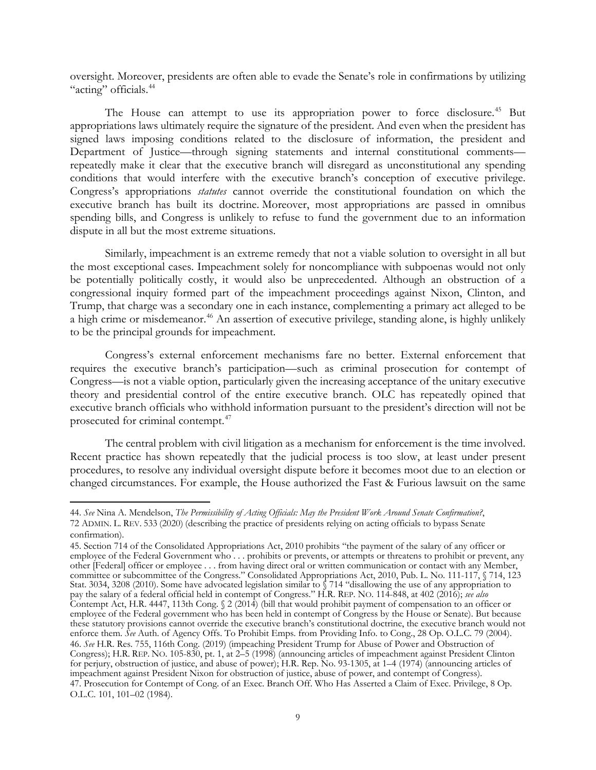oversight. Moreover, presidents are often able to evade the Senate's role in confirmations by utilizing "acting" officials.<sup>[44](#page-8-0)</sup>

The House can attempt to use its appropriation power to force disclosure.<sup>[45](#page-8-1)</sup> But appropriations laws ultimately require the signature of the president. And even when the president has signed laws imposing conditions related to the disclosure of information, the president and Department of Justice—through signing statements and internal constitutional comments repeatedly make it clear that the executive branch will disregard as unconstitutional any spending conditions that would interfere with the executive branch's conception of executive privilege. Congress's appropriations *statutes* cannot override the constitutional foundation on which the executive branch has built its doctrine. Moreover, most appropriations are passed in omnibus spending bills, and Congress is unlikely to refuse to fund the government due to an information dispute in all but the most extreme situations.

Similarly, impeachment is an extreme remedy that not a viable solution to oversight in all but the most exceptional cases. Impeachment solely for noncompliance with subpoenas would not only be potentially politically costly, it would also be unprecedented. Although an obstruction of a congressional inquiry formed part of the impeachment proceedings against Nixon, Clinton, and Trump, that charge was a secondary one in each instance, complementing a primary act alleged to be a high crime or misdemeanor.<sup>[46](#page-8-2)</sup> An assertion of executive privilege, standing alone, is highly unlikely to be the principal grounds for impeachment.

Congress's external enforcement mechanisms fare no better. External enforcement that requires the executive branch's participation—such as criminal prosecution for contempt of Congress—is not a viable option, particularly given the increasing acceptance of the unitary executive theory and presidential control of the entire executive branch. OLC has repeatedly opined that executive branch officials who withhold information pursuant to the president's direction will not be prosecuted for criminal contempt.<sup>[47](#page-8-3)</sup>

The central problem with civil litigation as a mechanism for enforcement is the time involved. Recent practice has shown repeatedly that the judicial process is too slow, at least under present procedures, to resolve any individual oversight dispute before it becomes moot due to an election or changed circumstances. For example, the House authorized the Fast & Furious lawsuit on the same

<span id="page-8-0"></span><sup>44.</sup> *See* Nina A. Mendelson, *The Permissibility of Acting Officials: May the President Work Around Senate Confirmation?*, 72 ADMIN. L. REV. 533 (2020) (describing the practice of presidents relying on acting officials to bypass Senate confirmation).

<span id="page-8-3"></span><span id="page-8-2"></span><span id="page-8-1"></span><sup>45.</sup> Section 714 of the Consolidated Appropriations Act, 2010 prohibits "the payment of the salary of any officer or employee of the Federal Government who . . . prohibits or prevents, or attempts or threatens to prohibit or prevent, any other [Federal] officer or employee . . . from having direct oral or written communication or contact with any Member, committee or subcommittee of the Congress." Consolidated Appropriations Act, 2010, Pub. L. No. 111-117, § 714, 123 Stat. 3034, 3208 (2010). Some have advocated legislation similar to § 714 "disallowing the use of any appropriation to pay the salary of a federal official held in contempt of Congress." H.R. REP. NO. 114-848, at 402 (2016); *see also* Contempt Act, H.R. 4447, 113th Cong. § 2 (2014) (bill that would prohibit payment of compensation to an officer or employee of the Federal government who has been held in contempt of Congress by the House or Senate). But because these statutory provisions cannot override the executive branch's constitutional doctrine, the executive branch would not enforce them. *See* Auth. of Agency Offs. To Prohibit Emps. from Providing Info. to Cong., 28 Op. O.L.C. 79 (2004). 46. *See* H.R. Res. 755, 116th Cong. (2019) (impeaching President Trump for Abuse of Power and Obstruction of Congress); H.R. REP. NO. 105-830, pt. 1, at 2–5 (1998) (announcing articles of impeachment against President Clinton for perjury, obstruction of justice, and abuse of power); H.R. Rep. No. 93-1305, at 1–4 (1974) (announcing articles of impeachment against President Nixon for obstruction of justice, abuse of power, and contempt of Congress). 47. Prosecution for Contempt of Cong. of an Exec. Branch Off. Who Has Asserted a Claim of Exec. Privilege, 8 Op. O.L.C. 101, 101–02 (1984).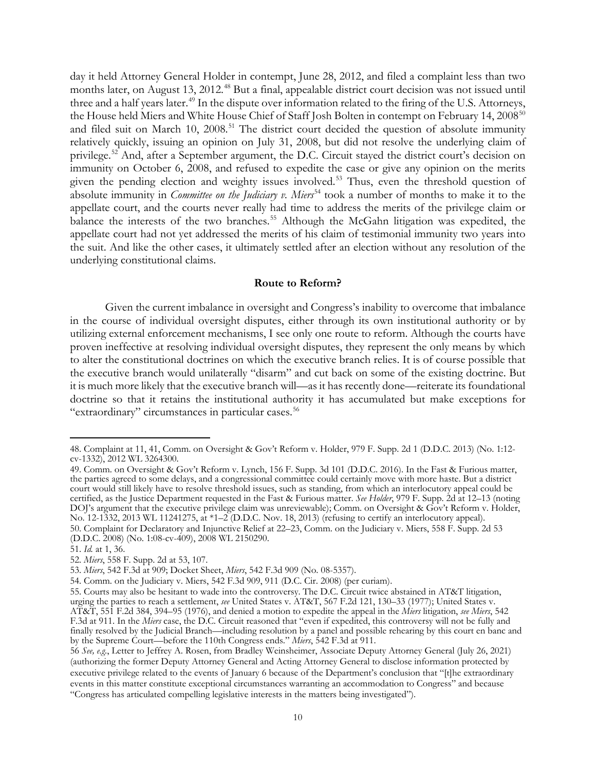day it held Attorney General Holder in contempt, June 28, 2012, and filed a complaint less than two months later, on August 13, 2012.<sup>[48](#page-9-0)</sup> But a final, appealable district court decision was not issued until three and a half years later.<sup>[49](#page-9-1)</sup> In the dispute over information related to the firing of the U.S. Attorneys, the House held Miers and White House Chief of Staff Josh Bolten in contempt on February 14, 2008<sup>[50](#page-9-2)</sup> and filed suit on March 10, 2008.<sup>[51](#page-9-3)</sup> The district court decided the question of absolute immunity relatively quickly, issuing an opinion on July 31, 2008, but did not resolve the underlying claim of privilege.<sup>52</sup> And, after a September argument, the D.C. Circuit stayed the district court's decision on immunity on October 6, 2008, and refused to expedite the case or give any opinion on the merits given the pending election and weighty issues involved.<sup>[53](#page-9-5)</sup> Thus, even the threshold question of absolute immunity in *Committee on the Judiciary v. Miers*<sup>[54](#page-9-6)</sup> took a number of months to make it to the appellate court, and the courts never really had time to address the merits of the privilege claim or balance the interests of the two branches.<sup>[55](#page-9-7)</sup> Although the McGahn litigation was expedited, the appellate court had not yet addressed the merits of his claim of testimonial immunity two years into the suit. And like the other cases, it ultimately settled after an election without any resolution of the underlying constitutional claims.

## **Route to Reform?**

Given the current imbalance in oversight and Congress's inability to overcome that imbalance in the course of individual oversight disputes, either through its own institutional authority or by utilizing external enforcement mechanisms, I see only one route to reform. Although the courts have proven ineffective at resolving individual oversight disputes, they represent the only means by which to alter the constitutional doctrines on which the executive branch relies. It is of course possible that the executive branch would unilaterally "disarm" and cut back on some of the existing doctrine. But it is much more likely that the executive branch will—as it has recently done—reiterate its foundational doctrine so that it retains the institutional authority it has accumulated but make exceptions for "extraordinary" circumstances in particular cases.<sup>[56](#page-9-8)</sup>

<span id="page-9-0"></span><sup>48.</sup> Complaint at 11, 41, Comm. on Oversight & Gov't Reform v. Holder, 979 F. Supp. 2d 1 (D.D.C. 2013) (No. 1:12- cv-1332), 2012 WL 3264300.

<span id="page-9-1"></span><sup>49.</sup> Comm. on Oversight & Gov't Reform v. Lynch, 156 F. Supp. 3d 101 (D.D.C. 2016). In the Fast & Furious matter, the parties agreed to some delays, and a congressional committee could certainly move with more haste. But a district court would still likely have to resolve threshold issues, such as standing, from which an interlocutory appeal could be certified, as the Justice Department requested in the Fast & Furious matter. *See Holder*, 979 F. Supp. 2d at 12–13 (noting DOJ's argument that the executive privilege claim was unreviewable); Comm. on Oversight & Gov't Reform v. Holder, No. 12-1332, 2013 WL 11241275, at \*1–2 (D.D.C. Nov. 18, 2013) (refusing to certify an interlocutory appeal). 50. Complaint for Declaratory and Injunctive Relief at 22–23, Comm. on the Judiciary v. Miers, 558 F. Supp. 2d 53 (D.D.C. 2008) (No. 1:08-cv-409), 2008 WL 2150290.

<span id="page-9-3"></span><span id="page-9-2"></span><sup>51.</sup> *Id.* at 1, 36.

<span id="page-9-4"></span><sup>52.</sup> *Miers*, 558 F. Supp. 2d at 53, 107.

<span id="page-9-5"></span><sup>53.</sup> *Miers*, 542 F.3d at 909; Docket Sheet, *Miers*, 542 F.3d 909 (No. 08-5357).

<span id="page-9-6"></span><sup>54.</sup> Comm. on the Judiciary v. Miers, 542 F.3d 909, 911 (D.C. Cir. 2008) (per curiam).

<span id="page-9-7"></span><sup>55.</sup> Courts may also be hesitant to wade into the controversy. The D.C. Circuit twice abstained in AT&T litigation, urging the parties to reach a settlement, *see* United States v. AT&T, 567 F.2d 121, 130–33 (1977); United States v. AT&T, 551 F.2d 384, 394–95 (1976), and denied a motion to expedite the appeal in the *Miers* litigation, *see Miers*, 542 F.3d at 911. In the *Miers* case, the D.C. Circuit reasoned that "even if expedited, this controversy will not be fully and finally resolved by the Judicial Branch—including resolution by a panel and possible rehearing by this court en banc and by the Supreme Court—before the 110th Congress ends." *Miers*, 542 F.3d at 911.

<span id="page-9-8"></span><sup>56</sup> *See, e.g.*, Letter to Jeffrey A. Rosen, from Bradley Weinsheimer, Associate Deputy Attorney General (July 26, 2021) (authorizing the former Deputy Attorney General and Acting Attorney General to disclose information protected by executive privilege related to the events of January 6 because of the Department's conclusion that "[t]he extraordinary events in this matter constitute exceptional circumstances warranting an accommodation to Congress" and because "Congress has articulated compelling legislative interests in the matters being investigated").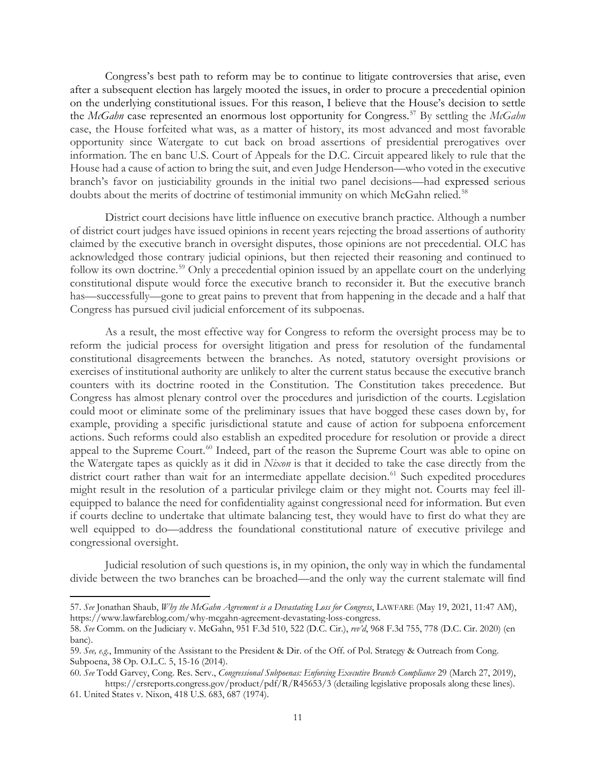Congress's best path to reform may be to continue to litigate controversies that arise, even after a subsequent election has largely mooted the issues, in order to procure a precedential opinion on the underlying constitutional issues. For this reason, I believe that the House's decision to settle the *McGahn* case represented an enormous lost opportunity for Congress.[57](#page-10-0) By settling the *McGahn* case, the House forfeited what was, as a matter of history, its most advanced and most favorable opportunity since Watergate to cut back on broad assertions of presidential prerogatives over information. The en banc U.S. Court of Appeals for the D.C. Circuit appeared likely to rule that the House had a cause of action to bring the suit, and even Judge Henderson—who voted in the executive branch's favor on justiciability grounds in the initial two panel decisions—had expressed serious doubts about the merits of doctrine of testimonial immunity on which McGahn relied.<sup>[58](#page-10-1)</sup>

District court decisions have little influence on executive branch practice. Although a number of district court judges have issued opinions in recent years rejecting the broad assertions of authority claimed by the executive branch in oversight disputes, those opinions are not precedential. OLC has acknowledged those contrary judicial opinions, but then rejected their reasoning and continued to follow its own doctrine.<sup>[59](#page-10-2)</sup> Only a precedential opinion issued by an appellate court on the underlying constitutional dispute would force the executive branch to reconsider it. But the executive branch has—successfully—gone to great pains to prevent that from happening in the decade and a half that Congress has pursued civil judicial enforcement of its subpoenas.

As a result, the most effective way for Congress to reform the oversight process may be to reform the judicial process for oversight litigation and press for resolution of the fundamental constitutional disagreements between the branches. As noted, statutory oversight provisions or exercises of institutional authority are unlikely to alter the current status because the executive branch counters with its doctrine rooted in the Constitution. The Constitution takes precedence. But Congress has almost plenary control over the procedures and jurisdiction of the courts. Legislation could moot or eliminate some of the preliminary issues that have bogged these cases down by, for example, providing a specific jurisdictional statute and cause of action for subpoena enforcement actions. Such reforms could also establish an expedited procedure for resolution or provide a direct appeal to the Supreme Court.<sup>[60](#page-10-3)</sup> Indeed, part of the reason the Supreme Court was able to opine on the Watergate tapes as quickly as it did in *Nixon* is that it decided to take the case directly from the district court rather than wait for an intermediate appellate decision.<sup>[61](#page-10-4)</sup> Such expedited procedures might result in the resolution of a particular privilege claim or they might not. Courts may feel illequipped to balance the need for confidentiality against congressional need for information. But even if courts decline to undertake that ultimate balancing test, they would have to first do what they are well equipped to do—address the foundational constitutional nature of executive privilege and congressional oversight.

Judicial resolution of such questions is, in my opinion, the only way in which the fundamental divide between the two branches can be broached—and the only way the current stalemate will find

<span id="page-10-0"></span><sup>57.</sup> *See* Jonathan Shaub, *Why the McGahn Agreement is a Devastating Loss for Congress*, LAWFARE (May 19, 2021, 11:47 AM), https://www.lawfareblog.com/why-mcgahn-agreement-devastating-loss-congress.

<span id="page-10-1"></span><sup>58.</sup> *See* Comm. on the Judiciary v. McGahn, 951 F.3d 510, 522 (D.C. Cir.), *rev'd*, 968 F.3d 755, 778 (D.C. Cir. 2020) (en banc).

<span id="page-10-2"></span><sup>59.</sup> *See, e.g.*, Immunity of the Assistant to the President & Dir. of the Off. of Pol. Strategy & Outreach from Cong. Subpoena, 38 Op. O.L.C. 5, 15-16 (2014).

<span id="page-10-3"></span><sup>60.</sup> *See* Todd Garvey, Cong. Res. Serv., *Congressional Subpoenas: Enforcing Executive Branch Compliance* 29 (March 27, 2019), https://crsreports.congress.gov/product/pdf/R/R45653/3 (detailing legislative proposals along these lines).

<span id="page-10-4"></span><sup>61.</sup> United States v. Nixon, 418 U.S. 683, 687 (1974).